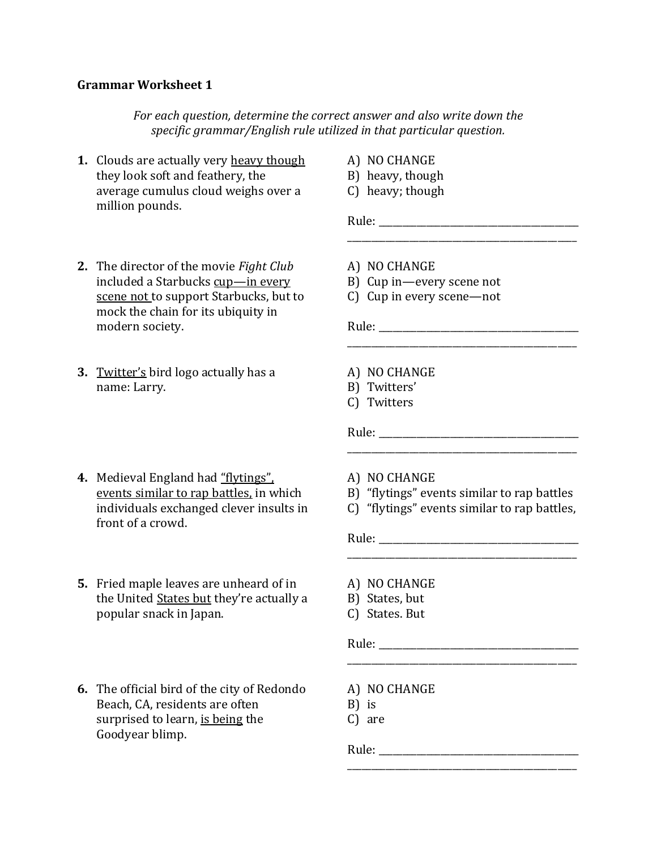## **Grammar Worksheet 1**

*For each question, determine the correct answer and also write down the specific grammar/English rule utilized in that particular question.*

- **1.** Clouds are actually very heavy though they look soft and feathery, the average cumulus cloud weighs over a million pounds.
- A) NO CHANGE
- B) heavy, though
- C) heavy; though

Rule: \_\_\_\_\_\_\_\_\_\_\_\_\_\_\_\_\_\_\_\_\_\_\_\_\_\_\_\_\_\_\_\_\_\_\_\_\_\_\_\_\_\_ \_\_\_\_\_\_\_\_\_\_\_\_\_\_\_\_\_\_\_\_\_\_\_\_\_\_\_\_\_\_\_\_\_\_\_\_\_\_\_\_\_\_\_\_\_\_\_\_

- **2.** The director of the movie *Fight Club* included a Starbucks cup—in every scene not to support Starbucks, but to mock the chain for its ubiquity in modern society.
- **3.** Twitter's bird logo actually has a name: Larry.
- **4.** Medieval England had "flytings", events similar to rap battles, in which individuals exchanged clever insults in front of a crowd.
- **5.** Fried maple leaves are unheard of in the United States but they're actually a popular snack in Japan.
- **6.** The official bird of the city of Redondo Beach, CA, residents are often surprised to learn, is being the Goodyear blimp.
- A) NO CHANGE
- B) Cup in—every scene not
- C) Cup in every scene—not

Rule: \_\_\_\_\_\_\_\_\_\_\_\_\_\_\_\_\_\_\_\_\_\_\_\_\_\_\_\_\_\_\_\_\_\_\_\_\_\_\_\_\_\_

- A) NO CHANGE
- B) Twitters'
- C) Twitters

Rule: \_\_\_\_\_\_\_\_\_\_\_\_\_\_\_\_\_\_\_\_\_\_\_\_\_\_\_\_\_\_\_\_\_\_\_\_\_\_\_\_\_\_

- A) NO CHANGE
- B) "flytings" events similar to rap battles

\_\_\_\_\_\_\_\_\_\_\_\_\_\_\_\_\_\_\_\_\_\_\_\_\_\_\_\_\_\_\_\_\_\_\_\_\_\_\_\_\_\_\_\_\_\_\_\_

\_\_\_\_\_\_\_\_\_\_\_\_\_\_\_\_\_\_\_\_\_\_\_\_\_\_\_\_\_\_\_\_\_\_\_\_\_\_\_\_\_\_\_\_\_\_\_\_

C) "flytings" events similar to rap battles,

Rule: \_\_\_\_\_\_\_\_\_\_\_\_\_\_\_\_\_\_\_\_\_\_\_\_\_\_\_\_\_\_\_\_\_\_\_\_\_\_\_\_\_\_\_\_\_\_\_\_

\_\_\_\_\_\_\_\_\_\_\_\_\_\_\_\_\_\_\_\_\_\_\_\_\_\_\_\_\_\_\_\_\_\_\_\_\_\_\_\_\_\_\_\_\_\_\_\_

\_\_\_\_\_\_\_\_\_\_\_\_\_\_\_\_\_\_\_\_\_\_\_\_\_\_\_\_\_\_\_\_\_\_\_\_\_\_\_\_\_\_\_\_\_\_\_\_

- A) NO CHANGE
- B) States, but
- C) States. But

Rule:

- A) NO CHANGE
- B) is
- C) are

Rule: \_\_\_\_\_\_\_\_\_\_\_\_\_\_\_\_\_\_\_\_\_\_\_\_\_\_\_\_\_\_\_\_\_\_\_\_\_\_\_\_\_\_